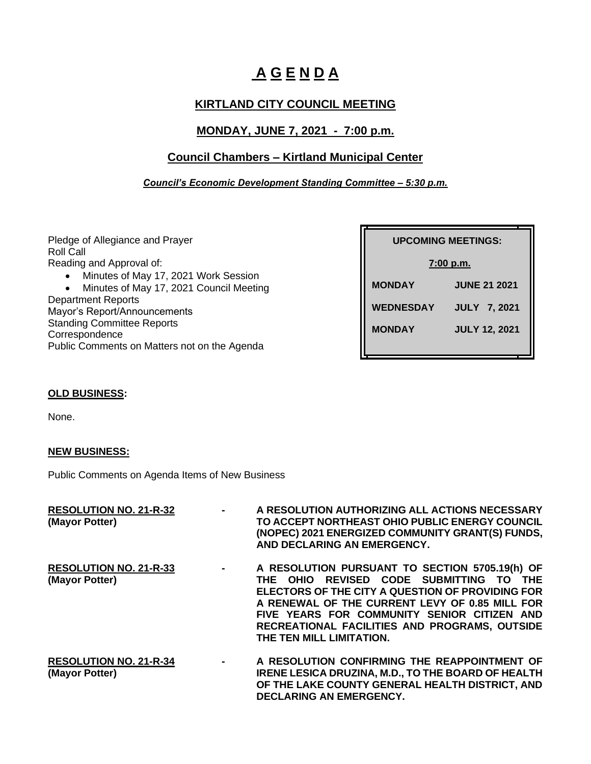# **A G E N D A**

# **KIRTLAND CITY COUNCIL MEETING**

# **MONDAY, JUNE 7, 2021 - 7:00 p.m.**

# **Council Chambers – Kirtland Municipal Center**

## *Council's Economic Development Standing Committee – 5:30 p.m.*

Pledge of Allegiance and Prayer Roll Call Reading and Approval of:

- Minutes of May 17, 2021 Work Session
- Minutes of May 17, 2021 Council Meeting

Department Reports Mayor's Report/Announcements Standing Committee Reports **Correspondence** Public Comments on Matters not on the Agenda

| <b>UPCOMING MEETINGS:</b> |                      |  |
|---------------------------|----------------------|--|
| 7:00 p.m.                 |                      |  |
| <b>MONDAY</b>             | <b>JUNE 21 2021</b>  |  |
| <b>WEDNESDAY</b>          | <b>JULY 7, 2021</b>  |  |
| <b>MONDAY</b>             | <b>JULY 12, 2021</b> |  |

## **OLD BUSINESS:**

None.

## **NEW BUSINESS:**

Public Comments on Agenda Items of New Business

| <b>RESOLUTION NO. 21-R-32</b><br>(Mayor Potter) |        | A RESOLUTION AUTHORIZING ALL ACTIONS NECESSARY<br>TO ACCEPT NORTHEAST OHIO PUBLIC ENERGY COUNCIL<br>(NOPEC) 2021 ENERGIZED COMMUNITY GRANT(S) FUNDS,<br>AND DECLARING AN EMERGENCY.                                                                                                                                         |
|-------------------------------------------------|--------|-----------------------------------------------------------------------------------------------------------------------------------------------------------------------------------------------------------------------------------------------------------------------------------------------------------------------------|
| <b>RESOLUTION NO. 21-R-33</b><br>(Mayor Potter) | $\sim$ | A RESOLUTION PURSUANT TO SECTION 5705.19(h) OF<br>THE OHIO REVISED CODE SUBMITTING TO THE<br>ELECTORS OF THE CITY A QUESTION OF PROVIDING FOR<br>A RENEWAL OF THE CURRENT LEVY OF 0.85 MILL FOR<br>FIVE YEARS FOR COMMUNITY SENIOR CITIZEN AND<br>RECREATIONAL FACILITIES AND PROGRAMS, OUTSIDE<br>THE TEN MILL LIMITATION. |
| <b>RESOLUTION NO. 21-R-34</b><br>(Mayor Potter) | $\sim$ | A RESOLUTION CONFIRMING THE REAPPOINTMENT OF<br><b>IRENE LESICA DRUZINA, M.D., TO THE BOARD OF HEALTH</b><br>OF THE LAKE COUNTY GENERAL HEALTH DISTRICT, AND<br><b>DECLARING AN EMERGENCY.</b>                                                                                                                              |